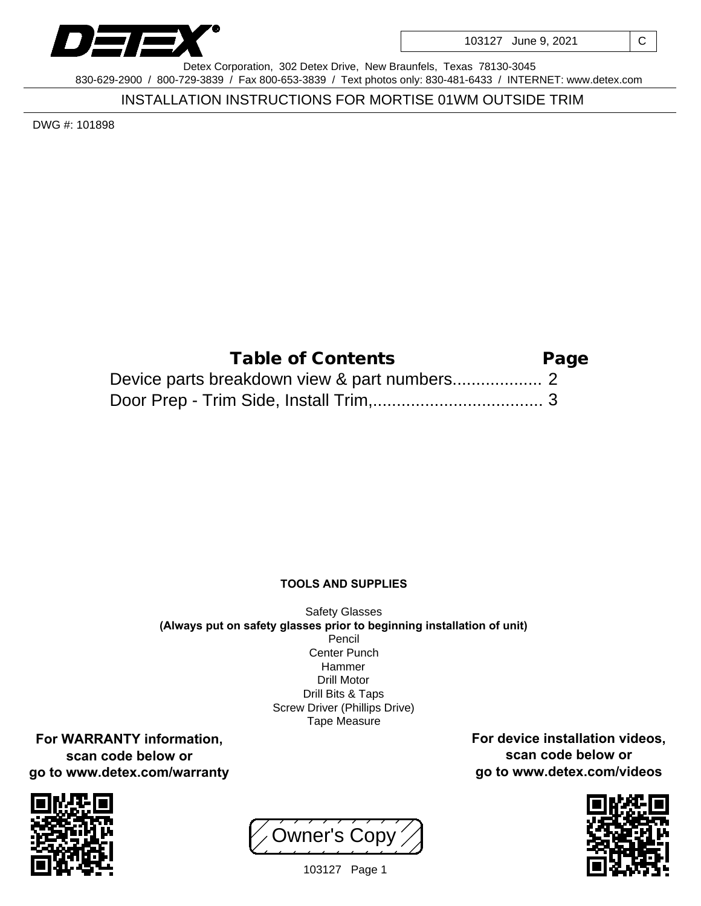

103127 June 9, 2021 | C

Detex Corporation, 302 Detex Drive, New Braunfels, Texas 78130-3045 830-629-2900 / 800-729-3839 / Fax 800-653-3839 / Text photos only: 830-481-6433 / INTERNET: www.detex.com

INSTALLATION INSTRUCTIONS FOR MORTISE 01WM OUTSIDE TRIM

DWG #: 101898

| Table of Contents | Page |
|-------------------|------|
|                   |      |
|                   |      |

## **TOOLS AND SUPPLIES**

Safety Glasses **(Always put on safety glasses prior to beginning installation of unit)** Pencil Center Punch Hammer Drill Motor Drill Bits & Taps Screw Driver (Phillips Drive) Tape Measure

**For WARRANTY information, scan code below or go to www.detex.com/warranty**



Owner's Copy



**For device installation videos, scan code below or go to www.detex.com/videos**

103127 Page 1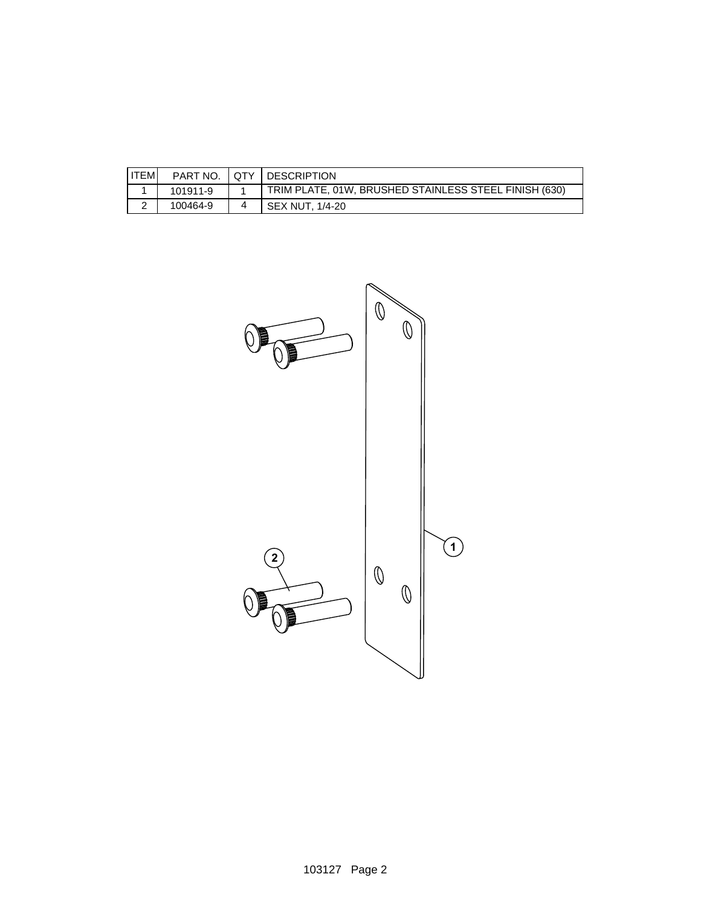| <b>ITEM</b> | PART NO. | <b>DESCRIPTION</b>                                    |
|-------------|----------|-------------------------------------------------------|
|             | 101911-9 | TRIM PLATE, 01W, BRUSHED STAINLESS STEEL FINISH (630) |
| -           | 100464-9 | SEX NUT. 1/4-20                                       |